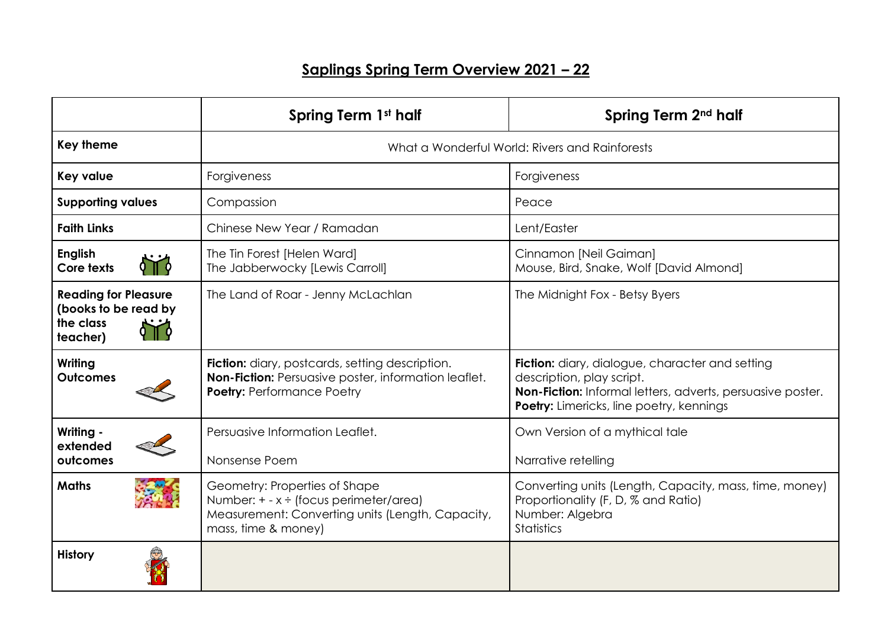## **Saplings Spring Term Overview 2021 – 22**

|                                                                              | Spring Term 1st half                                                                                                                                    | Spring Term 2 <sup>nd</sup> half                                                                                                                                                                     |
|------------------------------------------------------------------------------|---------------------------------------------------------------------------------------------------------------------------------------------------------|------------------------------------------------------------------------------------------------------------------------------------------------------------------------------------------------------|
| <b>Key theme</b>                                                             | What a Wonderful World: Rivers and Rainforests                                                                                                          |                                                                                                                                                                                                      |
| Key value                                                                    | Forgiveness                                                                                                                                             | Forgiveness                                                                                                                                                                                          |
| <b>Supporting values</b>                                                     | Compassion                                                                                                                                              | Peace                                                                                                                                                                                                |
| <b>Faith Links</b>                                                           | Chinese New Year / Ramadan                                                                                                                              | Lent/Easter                                                                                                                                                                                          |
| <b>English</b><br>Core texts                                                 | The Tin Forest [Helen Ward]<br>The Jabberwocky [Lewis Carroll]                                                                                          | Cinnamon [Neil Gaiman]<br>Mouse, Bird, Snake, Wolf [David Almond]                                                                                                                                    |
| <b>Reading for Pleasure</b><br>(books to be read by<br>the class<br>teacher) | The Land of Roar - Jenny McLachlan                                                                                                                      | The Midnight Fox - Betsy Byers                                                                                                                                                                       |
| Writing<br><b>Outcomes</b>                                                   | <b>Fiction:</b> diary, postcards, setting description.<br>Non-Fiction: Persuasive poster, information leaflet.<br><b>Poetry: Performance Poetry</b>     | <b>Fiction:</b> diary, dialogue, character and setting<br>description, play script.<br>Non-Fiction: Informal letters, adverts, persuasive poster.<br><b>Poetry:</b> Limericks, line poetry, kennings |
| Writing -<br>extended<br>outcomes                                            | Persuasive Information Leaflet.<br>Nonsense Poem                                                                                                        | Own Version of a mythical tale<br>Narrative retelling                                                                                                                                                |
| <b>Maths</b>                                                                 | Geometry: Properties of Shape<br>Number: $+ - x \div$ (focus perimeter/area)<br>Measurement: Converting units (Length, Capacity,<br>mass, time & money) | Converting units (Length, Capacity, mass, time, money)<br>Proportionality (F, D, % and Ratio)<br>Number: Algebra<br><b>Statistics</b>                                                                |
| <b>History</b>                                                               |                                                                                                                                                         |                                                                                                                                                                                                      |